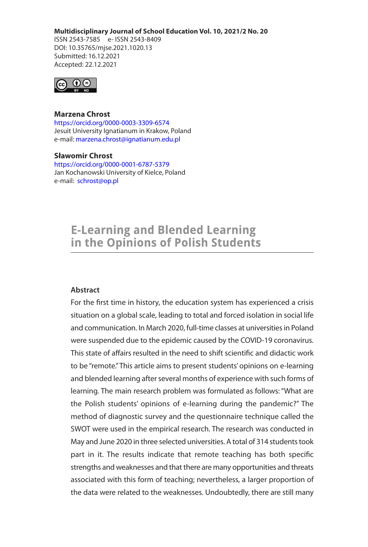#### **Multidisciplinary Journal of School Education Vol. 10, 2021/2 No. 20**

ISSN 2543-7585 e- ISSN 2543-8409 DOI: 10.35765/mjse.2021.1020.13 Submitted: 16.12.2021 Accepted: 22.12.2021



## **Marzena Chrost**

https://orcid.org/0000-0003-3309-6574 Jesuit University Ignatianum in Krakow, Poland e-mail: marzena.chrost@ignatianum.edu.pl

#### **Sławomir Chrost**

https://orcid.org/0000-0001-6787-5379 Jan Kochanowski University of Kielce, Poland e-mail: schrost@op.pl

# **E-Learning and Blended Learning** in the Opinions of Polish Students

## **Abstract**

For the first time in history, the education system has experienced a crisis situation on a global scale, leading to total and forced isolation in social life and communication. In March 2020, full-time classes at universities in Poland were suspended due to the epidemic caused by the COVID-19 coronavirus. This state of affairs resulted in the need to shift scientific and didactic work to be "remote." This article aims to present students' opinions on e-learning and blended learning after several months of experience with such forms of learning. The main research problem was formulated as follows: "What are the Polish students' opinions of e-learning during the pandemic?" The method of diagnostic survey and the questionnaire technique called the SWOT were used in the empirical research. The research was conducted in May and June 2020 in three selected universities. A total of 314 students took part in it. The results indicate that remote teaching has both specific strengths and weaknesses and that there are many opportunities and threats associated with this form of teaching; nevertheless, a larger proportion of the data were related to the weaknesses. Undoubtedly, there are still many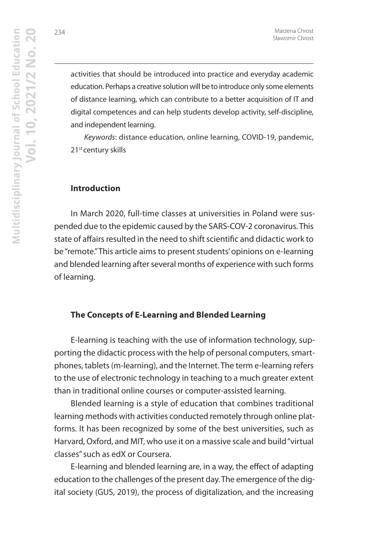activities that should be introduced into practice and everyday academic education. Perhaps a creative solution will be to introduce only some elements of distance learning, which can contribute to a better acquisition of IT and digital competences and can help students develop activity, self-discipline, and independent learning.

Keywords: distance education, online learning, COVID-19, pandemic, 21<sup>st</sup> century skills

### **Introduction**

In March 2020, full-time classes at universities in Poland were suspended due to the epidemic caused by the SARS-COV-2 coronavirus. This state of affairs resulted in the need to shift scientific and didactic work to be "remote." This article aims to present students' opinions on e-learning and blended learning after several months of experience with such forms of learning.

## **The Concepts of E-Learning and Blended Learning**

E-learning is teaching with the use of information technology, supporting the didactic process with the help of personal computers, smartphones, tablets (m-learning), and the Internet. The term e-learning refers to the use of electronic technology in teaching to a much greater extent than in traditional online courses or computer-assisted learning.

Blended learning is a style of education that combines traditional learning methods with activities conducted remotely through online platforms. It has been recognized by some of the best universities, such as Harvard, Oxford, and MIT, who use it on a massive scale and build "virtual classes" such as edX or Coursera.

E-learning and blended learning are, in a way, the effect of adapting education to the challenges of the present day. The emergence of the digital society (GUS, 2019), the process of digitalization, and the increasing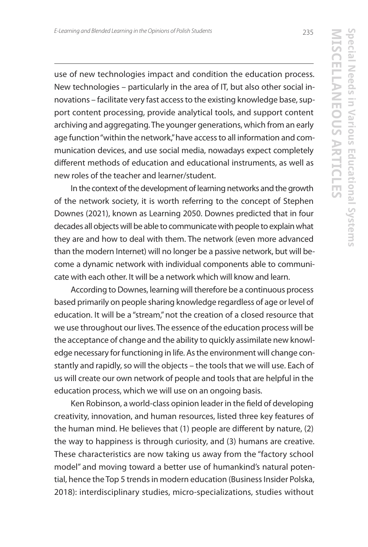*E-Learning and Blended Learning in the Opinions of Polish Students*

use of new technologies impact and condition the education process. New technologies – particularly in the area of IT, but also other social innovations – facilitate very fast access to the existing knowledge base, support content processing, provide analytical tools, and support content archiving and aggregating. The younger generations, which from an early age function "within the network," have access to all information and communication devices, and use social media, nowadays expect completely different methods of education and educational instruments, as well as new roles of the teacher and learner/student.

In the context of the development of learning networks and the growth of the network society, it is worth referring to the concept of Stephen Downes (2021), known as Learning 2050. Downes predicted that in four decades all objects will be able to communicate with people to explain what they are and how to deal with them. The network (even more advanced than the modern Internet) will no longer be a passive network, but will become a dynamic network with individual components able to communicate with each other. It will be a network which will know and learn.

According to Downes, learning will therefore be a continuous process based primarily on people sharing knowledge regardless of age or level of education. It will be a "stream," not the creation of a closed resource that we use throughout our lives. The essence of the education process will be the acceptance of change and the ability to quickly assimilate new knowledge necessary for functioning in life. As the environment will change constantly and rapidly, so will the objects – the tools that we will use. Each of us will create our own network of people and tools that are helpful in the education process, which we will use on an ongoing basis.

Ken Robinson, a world-class opinion leader in the field of developing creativity, innovation, and human resources, listed three key features of the human mind. He believes that (1) people are different by nature, (2) the way to happiness is through curiosity, and (3) humans are creative. These characteristics are now taking us away from the "factory school model" and moving toward a better use of humankind's natural potential, hence the Top 5 trends in modern education (Business Insider Polska, 2018): interdisciplinary studies, micro-specializations, studies without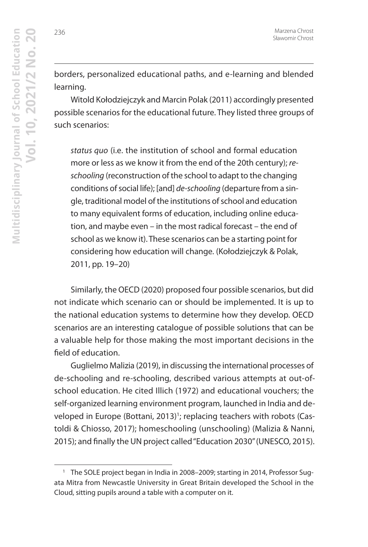borders, personalized educational paths, and e-learning and blended learning.

Witold Kołodziejczyk and Marcin Polak (2011) accordingly presented possible scenarios for the educational future. They listed three groups of such scenarios:

status quo (i.e. the institution of school and formal education more or less as we know it from the end of the 20th century); reschooling (reconstruction of the school to adapt to the changing conditions of social life); [and] de-schooling (departure from a single, traditional model of the institutions of school and education to many equivalent forms of education, including online education, and maybe even – in the most radical forecast – the end of school as we know it). These scenarios can be a starting point for considering how education will change. (Kołodziejczyk & Polak, 2011, pp. 19–20)

Similarly, the OECD (2020) proposed four possible scenarios, but did not indicate which scenario can or should be implemented. It is up to the national education systems to determine how they develop. OECD scenarios are an interesting catalogue of possible solutions that can be a valuable help for those making the most important decisions in the field of education.

Guglielmo Malizia (2019), in discussing the international processes of de-schooling and re-schooling, described various attempts at out-ofschool education. He cited Illich (1972) and educational vouchers; the self-organized learning environment program, launched in India and developed in Europe (Bottani, 2013)<sup>1</sup>; replacing teachers with robots (Castoldi & Chiosso, 2017); homeschooling (unschooling) (Malizia & Nanni, 2015); and finally the UN project called "Education 2030" (UNESCO, 2015).

<sup>&</sup>lt;sup>1</sup> The SOLE project began in India in 2008–2009; starting in 2014, Professor Sugata Mitra from Newcastle University in Great Britain developed the School in the Cloud, sitting pupils around a table with a computer on it.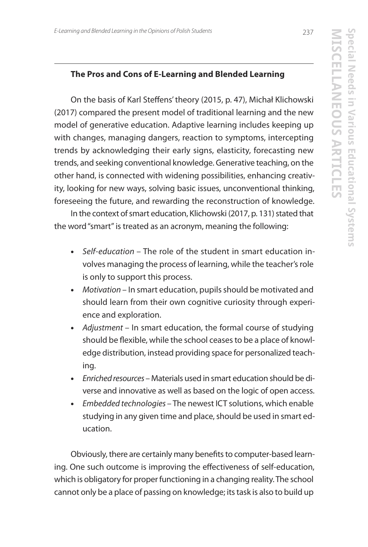## **The Pros and Cons of E-Learning and Blended Learning**

On the basis of Karl Steffens' theory (2015, p. 47), Michał Klichowski (2017) compared the present model of traditional learning and the new model of generative education. Adaptive learning includes keeping up with changes, managing dangers, reaction to symptoms, intercepting trends by acknowledging their early signs, elasticity, forecasting new trends, and seeking conventional knowledge. Generative teaching, on the other hand, is connected with widening possibilities, enhancing creativity, looking for new ways, solving basic issues, unconventional thinking, foreseeing the future, and rewarding the reconstruction of knowledge.

In the context of smart education, Klichowski (2017, p. 131) stated that the word "smart" is treated as an acronym, meaning the following:

- **•** Self-education The role of the student in smart education involves managing the process of learning, while the teacher's role is only to support this process.
- **•** Motivation In smart education, pupils should be motivated and should learn from their own cognitive curiosity through experience and exploration.
- **•** Adjustment In smart education, the formal course of studying should be flexible, while the school ceases to be a place of knowledge distribution, instead providing space for personalized teaching.
- **•** Enriched resources Materials used in smart education should be diverse and innovative as well as based on the logic of open access.
- **•** Embedded technologies The newest ICT solutions, which enable studying in any given time and place, should be used in smart education.

Obviously, there are certainly many benefits to computer-based learning. One such outcome is improving the effectiveness of self-education, which is obligatory for proper functioning in a changing reality. The school cannot only be a place of passing on knowledge; its task is also to build up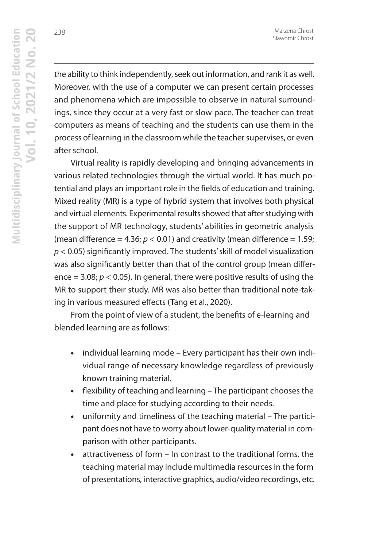the ability to think independently, seek out information, and rank it as well. Moreover, with the use of a computer we can present certain processes and phenomena which are impossible to observe in natural surroundings, since they occur at a very fast or slow pace. The teacher can treat computers as means of teaching and the students can use them in the process of learning in the classroom while the teacher supervises, or even after school.

Virtual reality is rapidly developing and bringing advancements in various related technologies through the virtual world. It has much potential and plays an important role in the fields of education and training. Mixed reality (MR) is a type of hybrid system that involves both physical and virtual elements. Experimental results showed that after studying with the support of MR technology, students' abilities in geometric analysis (mean difference = 4.36;  $p < 0.01$ ) and creativity (mean difference = 1.59;  $p$  < 0.05) significantly improved. The students' skill of model visualization was also significantly better than that of the control group (mean difference = 3.08;  $p < 0.05$ ). In general, there were positive results of using the MR to support their study. MR was also better than traditional note-taking in various measured effects (Tang et al., 2020).

From the point of view of a student, the benefits of e-learning and blended learning are as follows:

- **•** individual learning mode Every participant has their own individual range of necessary knowledge regardless of previously known training material.
- **•** flexibility of teaching and learning The participant chooses the time and place for studying according to their needs.
- **•** uniformity and timeliness of the teaching material The participant does not have to worry about lower-quality material in comparison with other participants.
- **•** attractiveness of form In contrast to the traditional forms, the teaching material may include multimedia resources in the form of presentations, interactive graphics, audio/video recordings, etc.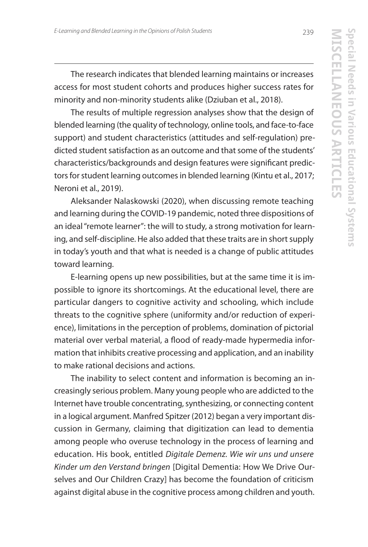The research indicates that blended learning maintains or increases access for most student cohorts and produces higher success rates for minority and non-minority students alike (Dziuban et al., 2018).

The results of multiple regression analyses show that the design of blended learning (the quality of technology, online tools, and face-to-face support) and student characteristics (attitudes and self-regulation) predicted student satisfaction as an outcome and that some of the students' characteristics/backgrounds and design features were significant predictors for student learning outcomes in blended learning (Kintu et al., 2017; Neroni et al., 2019).

Aleksander Nalaskowski (2020), when discussing remote teaching and learning during the COVID-19 pandemic, noted three dispositions of an ideal "remote learner": the will to study, a strong motivation for learning, and self-discipline. He also added that these traits are in short supply in today's youth and that what is needed is a change of public attitudes toward learning.

E-learning opens up new possibilities, but at the same time it is impossible to ignore its shortcomings. At the educational level, there are particular dangers to cognitive activity and schooling, which include threats to the cognitive sphere (uniformity and/or reduction of experience), limitations in the perception of problems, domination of pictorial material over verbal material, a flood of ready-made hypermedia information that inhibits creative processing and application, and an inability to make rational decisions and actions.

The inability to select content and information is becoming an increasingly serious problem. Many young people who are addicted to the Internet have trouble concentrating, synthesizing, or connecting content in a logical argument. Manfred Spitzer (2012) began a very important discussion in Germany, claiming that digitization can lead to dementia among people who overuse technology in the process of learning and education. His book, entitled Digitale Demenz. Wie wir uns und unsere Kinder um den Verstand bringen [Digital Dementia: How We Drive Ourselves and Our Children Crazy] has become the foundation of criticism against digital abuse in the cognitive process among children and youth.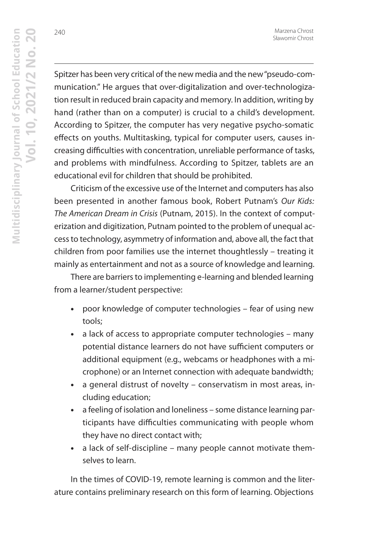Spitzer has been very critical of the new media and the new "pseudo-communication." He argues that over-digitalization and over-technologization result in reduced brain capacity and memory. In addition, writing by hand (rather than on a computer) is crucial to a child's development. According to Spitzer, the computer has very negative psycho-somatic effects on youths. Multitasking, typical for computer users, causes increasing difficulties with concentration, unreliable performance of tasks, and problems with mindfulness. According to Spitzer, tablets are an educational evil for children that should be prohibited.

Criticism of the excessive use of the Internet and computers has also been presented in another famous book, Robert Putnam's Our Kids: The American Dream in Crisis (Putnam, 2015). In the context of computerization and digitization, Putnam pointed to the problem of unequal access to technology, asymmetry of information and, above all, the fact that children from poor families use the internet thoughtlessly – treating it mainly as entertainment and not as a source of knowledge and learning.

There are barriers to implementing e-learning and blended learning from a learner/student perspective:

- **•** poor knowledge of computer technologies fear of using new tools;
- **•** a lack of access to appropriate computer technologies many potential distance learners do not have sufficient computers or additional equipment (e.g., webcams or headphones with a microphone) or an Internet connection with adequate bandwidth;
- **•** a general distrust of novelty conservatism in most areas, including education;
- **•** a feeling of isolation and loneliness some distance learning participants have difficulties communicating with people whom they have no direct contact with;
- **•** a lack of self-discipline many people cannot motivate themselves to learn.

In the times of COVID-19, remote learning is common and the literature contains preliminary research on this form of learning. Objections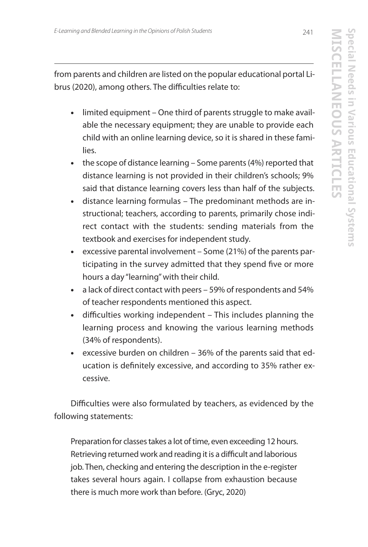from parents and children are listed on the popular educational portal Librus (2020), among others. The difficulties relate to:

- **•** limited equipment One third of parents struggle to make available the necessary equipment; they are unable to provide each child with an online learning device, so it is shared in these families.
- **•** the scope of distance learning Some parents (4%) reported that distance learning is not provided in their children's schools; 9% said that distance learning covers less than half of the subjects.
- **•** distance learning formulas The predominant methods are instructional; teachers, according to parents, primarily chose indirect contact with the students: sending materials from the textbook and exercises for independent study.
- **•** excessive parental involvement Some (21%) of the parents participating in the survey admitted that they spend five or more hours a day "learning" with their child.
- **•** a lack of direct contact with peers 59% of respondents and 54% of teacher respondents mentioned this aspect.
- **•** difficulties working independent This includes planning the learning process and knowing the various learning methods (34% of respondents).
- **•** excessive burden on children 36% of the parents said that education is definitely excessive, and according to 35% rather excessive.

Difficulties were also formulated by teachers, as evidenced by the following statements:

Preparation for classes takes a lot of time, even exceeding 12 hours. Retrieving returned work and reading it is a difficult and laborious job. Then, checking and entering the description in the e-register takes several hours again. I collapse from exhaustion because there is much more work than before. (Gryc, 2020)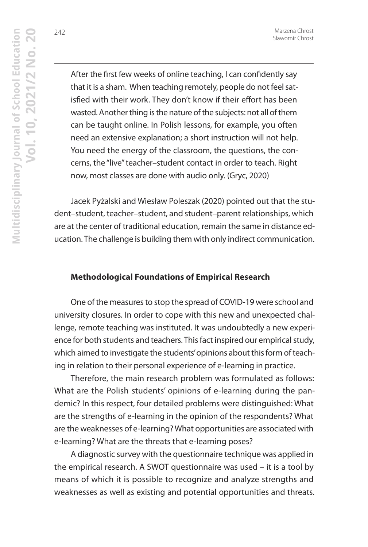242

After the first few weeks of online teaching, I can confidently say that it is a sham. When teaching remotely, people do not feel satisfied with their work. They don't know if their effort has been wasted. Another thing is the nature of the subjects: not all of them can be taught online. In Polish lessons, for example, you often need an extensive explanation; a short instruction will not help. You need the energy of the classroom, the questions, the concerns, the "live" teacher–student contact in order to teach. Right now, most classes are done with audio only. (Gryc, 2020)

Jacek Pyżalski and Wiesław Poleszak (2020) pointed out that the student–student, teacher–student, and student–parent relationships, which are at the center of traditional education, remain the same in distance education. The challenge is building them with only indirect communication.

## **Methodological Foundations of Empirical Research**

One of the measures to stop the spread of COVID-19 were school and university closures. In order to cope with this new and unexpected challenge, remote teaching was instituted. It was undoubtedly a new experience for both students and teachers. This fact inspired our empirical study, which aimed to investigate the students' opinions about this form of teaching in relation to their personal experience of e-learning in practice.

Therefore, the main research problem was formulated as follows: What are the Polish students' opinions of e-learning during the pandemic? In this respect, four detailed problems were distinguished: What are the strengths of e-learning in the opinion of the respondents? What are the weaknesses of e-learning? What opportunities are associated with e-learning? What are the threats that e-learning poses?

A diagnostic survey with the questionnaire technique was applied in the empirical research. A SWOT questionnaire was used – it is a tool by means of which it is possible to recognize and analyze strengths and weaknesses as well as existing and potential opportunities and threats.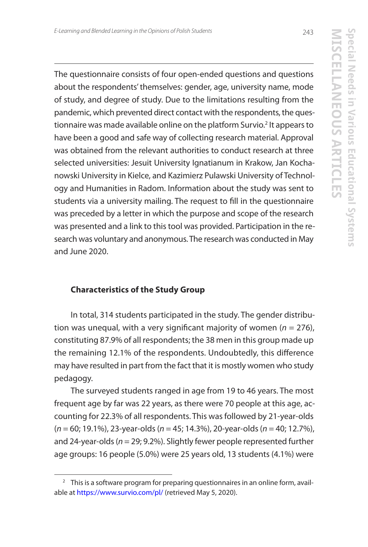**MISCELLANEOUS ARTICLES**

N<br>T<br>C

**Special Needs in Various Educational Systems**

pecial Needs in Various Educational Systems

The questionnaire consists of four open-ended questions and questions about the respondents' themselves: gender, age, university name, mode of study, and degree of study. Due to the limitations resulting from the pandemic, which prevented direct contact with the respondents, the questionnaire was made available online on the platform Survio.<sup>2</sup> It appears to have been a good and safe way of collecting research material. Approval was obtained from the relevant authorities to conduct research at three selected universities: Jesuit University Ignatianum in Krakow, Jan Kochanowski University in Kielce, and Kazimierz Pulawski University of Technology and Humanities in Radom. Information about the study was sent to students via a university mailing. The request to fill in the questionnaire was preceded by a letter in which the purpose and scope of the research was presented and a link to this tool was provided. Participation in the research was voluntary and anonymous. The research was conducted in May and June 2020.

## **Characteristics of the Study Group**

In total, 314 students participated in the study. The gender distribution was unequal, with a very significant majority of women ( $n = 276$ ), constituting 87.9% of all respondents; the 38 men in this group made up the remaining 12.1% of the respondents. Undoubtedly, this difference may have resulted in part from the fact that it is mostly women who study pedagogy.

The surveyed students ranged in age from 19 to 46 years. The most frequent age by far was 22 years, as there were 70 people at this age, accounting for 22.3% of all respondents. This was followed by 21-year-olds  $(n = 60; 19.1\%)$ , 23-year-olds ( $n = 45; 14.3\%)$ , 20-year-olds ( $n = 40; 12.7\%)$ , and 24-year-olds ( $n = 29$ ; 9.2%). Slightly fewer people represented further age groups: 16 people (5.0%) were 25 years old, 13 students (4.1%) were

<sup>&</sup>lt;sup>2</sup> This is a software program for preparing questionnaires in an online form, available at https://www.survio.com/pl/ (retrieved May 5, 2020).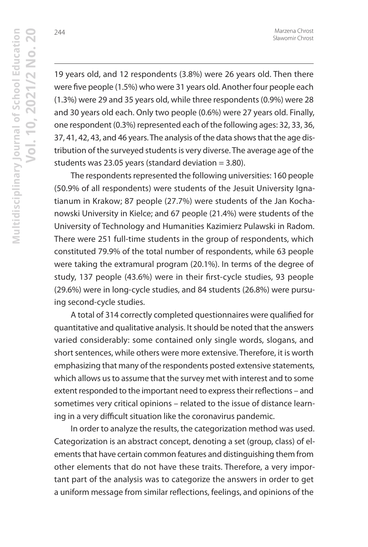244

19 years old, and 12 respondents (3.8%) were 26 years old. Then there were five people (1.5%) who were 31 years old. Another four people each (1.3%) were 29 and 35 years old, while three respondents (0.9%) were 28 and 30 years old each. Only two people (0.6%) were 27 years old. Finally, one respondent (0.3%) represented each of the following ages: 32, 33, 36, 37, 41, 42, 43, and 46 years. The analysis of the data shows that the age distribution of the surveyed students is very diverse. The average age of the students was 23.05 years (standard deviation  $=$  3.80).

The respondents represented the following universities: 160 people (50.9% of all respondents) were students of the Jesuit University Ignatianum in Krakow; 87 people (27.7%) were students of the Jan Kochanowski University in Kielce; and 67 people (21.4%) were students of the University of Technology and Humanities Kazimierz Pulawski in Radom. There were 251 full-time students in the group of respondents, which constituted 79.9% of the total number of respondents, while 63 people were taking the extramural program (20.1%). In terms of the degree of study, 137 people (43.6%) were in their first-cycle studies, 93 people (29.6%) were in long-cycle studies, and 84 students (26.8%) were pursuing second-cycle studies.

A total of 314 correctly completed questionnaires were qualified for quantitative and qualitative analysis. It should be noted that the answers varied considerably: some contained only single words, slogans, and short sentences, while others were more extensive. Therefore, it is worth emphasizing that many of the respondents posted extensive statements, which allows us to assume that the survey met with interest and to some extent responded to the important need to express their reflections – and sometimes very critical opinions – related to the issue of distance learning in a very difficult situation like the coronavirus pandemic.

In order to analyze the results, the categorization method was used. Categorization is an abstract concept, denoting a set (group, class) of elements that have certain common features and distinguishing them from other elements that do not have these traits. Therefore, a very important part of the analysis was to categorize the answers in order to get a uniform message from similar reflections, feelings, and opinions of the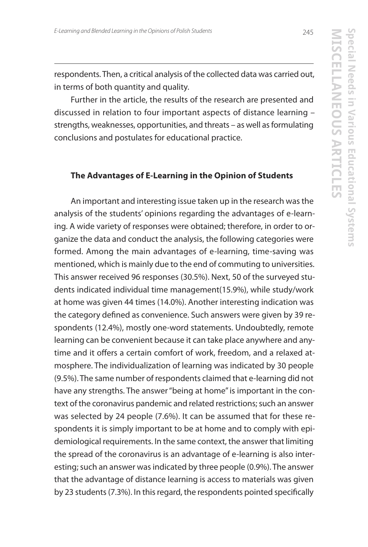respondents. Then, a critical analysis of the collected data was carried out, in terms of both quantity and quality.

Further in the article, the results of the research are presented and discussed in relation to four important aspects of distance learning – strengths, weaknesses, opportunities, and threats – as well as formulating conclusions and postulates for educational practice.

## **The Advantages of E-Learning in the Opinion of Students**

An important and interesting issue taken up in the research was the analysis of the students' opinions regarding the advantages of e-learning. A wide variety of responses were obtained; therefore, in order to organize the data and conduct the analysis, the following categories were formed. Among the main advantages of e-learning, time-saving was mentioned, which is mainly due to the end of commuting to universities. This answer received 96 responses (30.5%). Next, 50 of the surveyed students indicated individual time management(15.9%), while study/work at home was given 44 times (14.0%). Another interesting indication was the category defined as convenience. Such answers were given by 39 respondents (12.4%), mostly one-word statements. Undoubtedly, remote learning can be convenient because it can take place anywhere and anytime and it offers a certain comfort of work, freedom, and a relaxed atmosphere. The individualization of learning was indicated by 30 people (9.5%). The same number of respondents claimed that e-learning did not have any strengths. The answer "being at home" is important in the context of the coronavirus pandemic and related restrictions; such an answer was selected by 24 people (7.6%). It can be assumed that for these respondents it is simply important to be at home and to comply with epidemiological requirements. In the same context, the answer that limiting the spread of the coronavirus is an advantage of e-learning is also interesting; such an answer was indicated by three people (0.9%). The answer that the advantage of distance learning is access to materials was given by 23 students (7.3%). In this regard, the respondents pointed specifically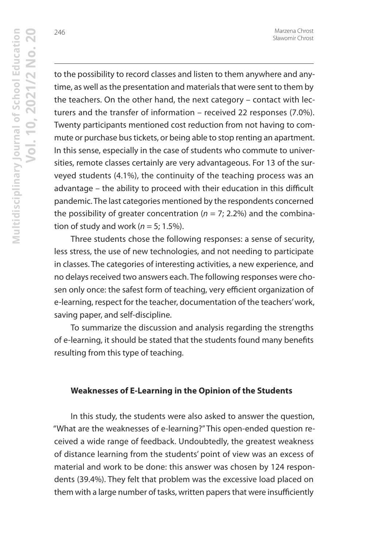to the possibility to record classes and listen to them anywhere and anytime, as well as the presentation and materials that were sent to them by the teachers. On the other hand, the next category – contact with lecturers and the transfer of information – received 22 responses (7.0%). Twenty participants mentioned cost reduction from not having to commute or purchase bus tickets, or being able to stop renting an apartment. In this sense, especially in the case of students who commute to universities, remote classes certainly are very advantageous. For 13 of the surveyed students (4.1%), the continuity of the teaching process was an advantage – the ability to proceed with their education in this difficult pandemic. The last categories mentioned by the respondents concerned the possibility of greater concentration ( $n = 7$ ; 2.2%) and the combination of study and work ( $n = 5$ ; 1.5%).

Three students chose the following responses: a sense of security, less stress, the use of new technologies, and not needing to participate in classes. The categories of interesting activities, a new experience, and no delays received two answers each. The following responses were chosen only once: the safest form of teaching, very efficient organization of e-learning, respect for the teacher, documentation of the teachers' work, saving paper, and self-discipline.

To summarize the discussion and analysis regarding the strengths of e-learning, it should be stated that the students found many benefits resulting from this type of teaching.

## **Weaknesses of E-Learning in the Opinion of the Students**

In this study, the students were also asked to answer the question, "What are the weaknesses of e-learning?" This open-ended question received a wide range of feedback. Undoubtedly, the greatest weakness of distance learning from the students' point of view was an excess of material and work to be done: this answer was chosen by 124 respondents (39.4%). They felt that problem was the excessive load placed on them with a large number of tasks, written papers that were insufficiently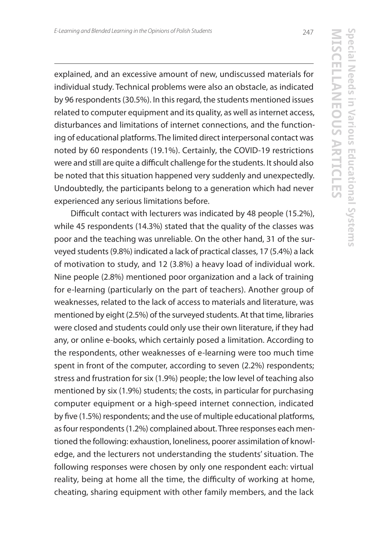explained, and an excessive amount of new, undiscussed materials for individual study. Technical problems were also an obstacle, as indicated by 96 respondents (30.5%). In this regard, the students mentioned issues related to computer equipment and its quality, as well as internet access, disturbances and limitations of internet connections, and the functioning of educational platforms. The limited direct interpersonal contact was noted by 60 respondents (19.1%). Certainly, the COVID-19 restrictions were and still are quite a difficult challenge for the students. It should also be noted that this situation happened very suddenly and unexpectedly. Undoubtedly, the participants belong to a generation which had never experienced any serious limitations before.

Difficult contact with lecturers was indicated by 48 people (15.2%), while 45 respondents (14.3%) stated that the quality of the classes was poor and the teaching was unreliable. On the other hand, 31 of the surveyed students (9.8%) indicated a lack of practical classes, 17 (5.4%) a lack of motivation to study, and 12 (3.8%) a heavy load of individual work. Nine people (2.8%) mentioned poor organization and a lack of training for e-learning (particularly on the part of teachers). Another group of weaknesses, related to the lack of access to materials and literature, was mentioned by eight (2.5%) of the surveyed students. At that time, libraries were closed and students could only use their own literature, if they had any, or online e-books, which certainly posed a limitation. According to the respondents, other weaknesses of e-learning were too much time spent in front of the computer, according to seven (2.2%) respondents; stress and frustration for six (1.9%) people; the low level of teaching also mentioned by six (1.9%) students; the costs, in particular for purchasing computer equipment or a high-speed internet connection, indicated by five (1.5%) respondents; and the use of multiple educational platforms, as four respondents (1.2%) complained about. Three responses each mentioned the following: exhaustion, loneliness, poorer assimilation of knowledge, and the lecturers not understanding the students' situation. The following responses were chosen by only one respondent each: virtual reality, being at home all the time, the difficulty of working at home, cheating, sharing equipment with other family members, and the lack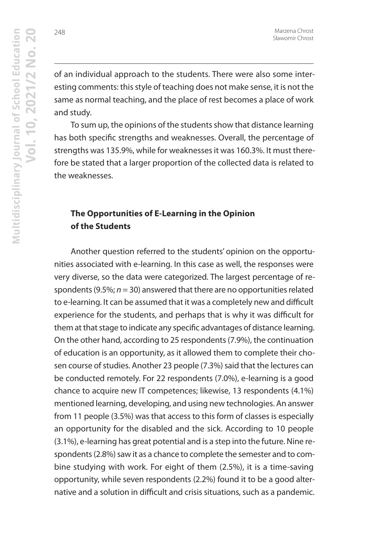of an individual approach to the students. There were also some interesting comments: this style of teaching does not make sense, it is not the same as normal teaching, and the place of rest becomes a place of work and study.

To sum up, the opinions of the students show that distance learning has both specific strengths and weaknesses. Overall, the percentage of strengths was 135.9%, while for weaknesses it was 160.3%. It must therefore be stated that a larger proportion of the collected data is related to the weaknesses.

# **The Opportunities of E-Learning in the Opinion of the Students**

Another question referred to the students' opinion on the opportunities associated with e-learning. In this case as well, the responses were very diverse, so the data were categorized. The largest percentage of respondents (9.5%;  $n = 30$ ) answered that there are no opportunities related to e-learning. It can be assumed that it was a completely new and difficult experience for the students, and perhaps that is why it was difficult for them at that stage to indicate any specific advantages of distance learning. On the other hand, according to 25 respondents (7.9%), the continuation of education is an opportunity, as it allowed them to complete their chosen course of studies. Another 23 people (7.3%) said that the lectures can be conducted remotely. For 22 respondents (7.0%), e-learning is a good chance to acquire new IT competences; likewise, 13 respondents (4.1%) mentioned learning, developing, and using new technologies. An answer from 11 people (3.5%) was that access to this form of classes is especially an opportunity for the disabled and the sick. According to 10 people (3.1%), e-learning has great potential and is a step into the future. Nine respondents (2.8%) saw it as a chance to complete the semester and to combine studying with work. For eight of them (2.5%), it is a time-saving opportunity, while seven respondents (2.2%) found it to be a good alternative and a solution in difficult and crisis situations, such as a pandemic.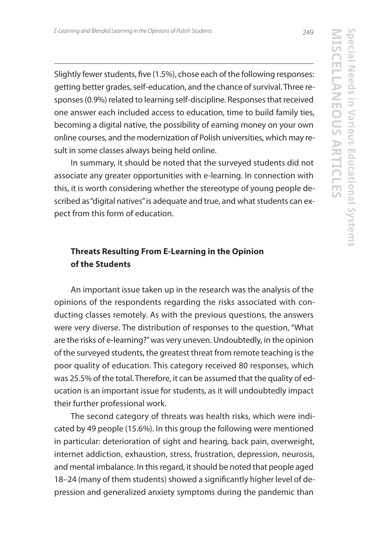Slightly fewer students, five (1.5%), chose each of the following responses: getting better grades, self-education, and the chance of survival. Three responses (0.9%) related to learning self-discipline. Responses that received one answer each included access to education, time to build family ties, becoming a digital native, the possibility of earning money on your own online courses, and the modernization of Polish universities, which may result in some classes always being held online.

In summary, it should be noted that the surveyed students did not associate any greater opportunities with e-learning. In connection with this, it is worth considering whether the stereotype of young people described as "digital natives" is adequate and true, and what students can expect from this form of education.

# **Threats Resulting From E-Learning in the Opinion of the Students**

An important issue taken up in the research was the analysis of the opinions of the respondents regarding the risks associated with conducting classes remotely. As with the previous questions, the answers were very diverse. The distribution of responses to the question, "What are the risks of e-learning?" was very uneven. Undoubtedly, in the opinion of the surveyed students, the greatest threat from remote teaching is the poor quality of education. This category received 80 responses, which was 25.5% of the total. Therefore, it can be assumed that the quality of education is an important issue for students, as it will undoubtedly impact their further professional work.

The second category of threats was health risks, which were indicated by 49 people (15.6%). In this group the following were mentioned in particular: deterioration of sight and hearing, back pain, overweight, internet addiction, exhaustion, stress, frustration, depression, neurosis, and mental imbalance. In this regard, it should be noted that people aged 18–24 (many of them students) showed a significantly higher level of depression and generalized anxiety symptoms during the pandemic than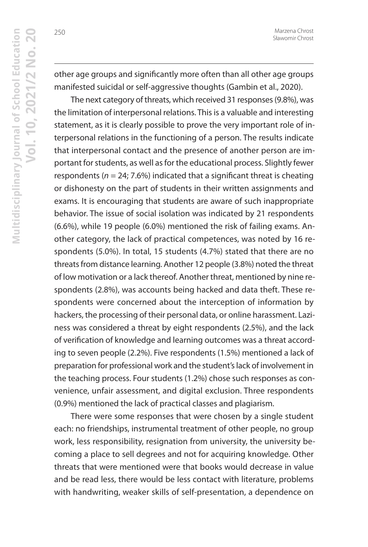other age groups and significantly more often than all other age groups manifested suicidal or self-aggressive thoughts (Gambin et al., 2020).

The next category of threats, which received 31 responses (9.8%), was the limitation of interpersonal relations. This is a valuable and interesting statement, as it is clearly possible to prove the very important role of interpersonal relations in the functioning of a person. The results indicate that interpersonal contact and the presence of another person are important for students, as well as for the educational process. Slightly fewer respondents ( $n = 24$ ; 7.6%) indicated that a significant threat is cheating or dishonesty on the part of students in their written assignments and exams. It is encouraging that students are aware of such inappropriate behavior. The issue of social isolation was indicated by 21 respondents (6.6%), while 19 people (6.0%) mentioned the risk of failing exams. Another category, the lack of practical competences, was noted by 16 respondents (5.0%). In total, 15 students (4.7%) stated that there are no threats from distance learning. Another 12 people (3.8%) noted the threat of low motivation or a lack thereof. Another threat, mentioned by nine respondents (2.8%), was accounts being hacked and data theft. These respondents were concerned about the interception of information by hackers, the processing of their personal data, or online harassment. Laziness was considered a threat by eight respondents (2.5%), and the lack of verification of knowledge and learning outcomes was a threat according to seven people (2.2%). Five respondents (1.5%) mentioned a lack of preparation for professional work and the student's lack of involvement in the teaching process. Four students (1.2%) chose such responses as convenience, unfair assessment, and digital exclusion. Three respondents (0.9%) mentioned the lack of practical classes and plagiarism.

There were some responses that were chosen by a single student each: no friendships, instrumental treatment of other people, no group work, less responsibility, resignation from university, the university becoming a place to sell degrees and not for acquiring knowledge. Other threats that were mentioned were that books would decrease in value and be read less, there would be less contact with literature, problems with handwriting, weaker skills of self-presentation, a dependence on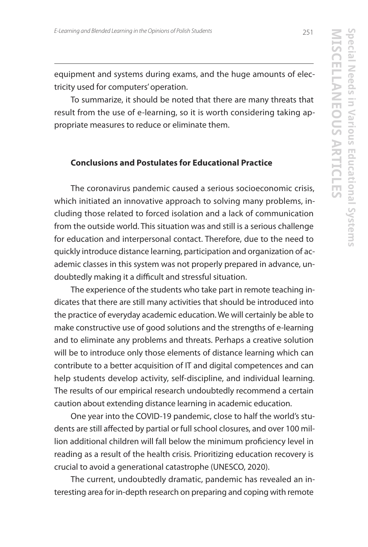equipment and systems during exams, and the huge amounts of electricity used for computers' operation.

To summarize, it should be noted that there are many threats that result from the use of e-learning, so it is worth considering taking appropriate measures to reduce or eliminate them.

# **Conclusions and Postulates for Educational Practice**

The coronavirus pandemic caused a serious socioeconomic crisis, which initiated an innovative approach to solving many problems, including those related to forced isolation and a lack of communication from the outside world. This situation was and still is a serious challenge for education and interpersonal contact. Therefore, due to the need to quickly introduce distance learning, participation and organization of academic classes in this system was not properly prepared in advance, undoubtedly making it a difficult and stressful situation.

The experience of the students who take part in remote teaching indicates that there are still many activities that should be introduced into the practice of everyday academic education. We will certainly be able to make constructive use of good solutions and the strengths of e-learning and to eliminate any problems and threats. Perhaps a creative solution will be to introduce only those elements of distance learning which can contribute to a better acquisition of IT and digital competences and can help students develop activity, self-discipline, and individual learning. The results of our empirical research undoubtedly recommend a certain caution about extending distance learning in academic education.

One year into the COVID-19 pandemic, close to half the world's students are still affected by partial or full school closures, and over 100 million additional children will fall below the minimum proficiency level in reading as a result of the health crisis. Prioritizing education recovery is crucial to avoid a generational catastrophe (UNESCO, 2020).

The current, undoubtedly dramatic, pandemic has revealed an interesting area for in-depth research on preparing and coping with remote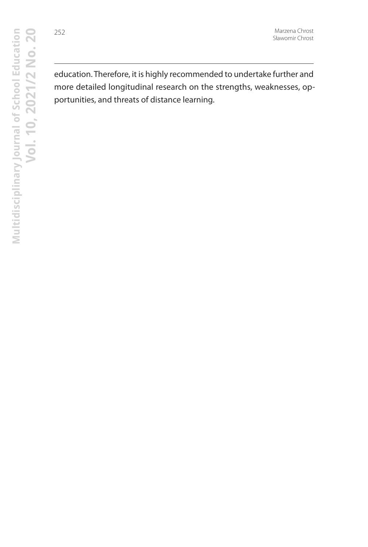education. Therefore, it is highly recommended to undertake further and more detailed longitudinal research on the strengths, weaknesses, opportunities, and threats of distance learning.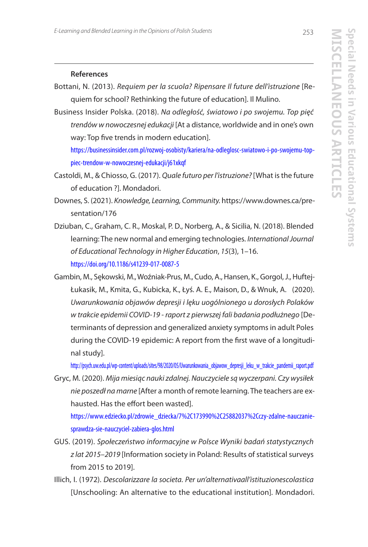## **References**

- Bottani, N. (2013). Requiem per la scuola? Ripensare Il future dell'istruzione [Requiem for school? Rethinking the future of education]. Il Mulino.
- Business Insider Polska. (2018). Na odległość, światowo i po swojemu. Top pięć trendów w nowoczesnej edukacji [At a distance, worldwide and in one's own way: Top five trends in modern education].

https://businessinsider.com.pl/rozwoj-osobisty/kariera/na-odleglosc-swiatowo-i-po-swojemu-toppiec-trendow-w-nowoczesnej-edukacji/j61xkqf

- Castoldi, M., & Chiosso, G. (2017). Quale futuro per l'istruzione? [What is the future of education ?]. Mondadori.
- Downes, S. (2021). Knowledge, Learning, Community. https://www.downes.ca/presentation/176
- Dziuban, C., Graham, C. R., Moskal, P. D., Norberg, A., & Sicilia, N. (2018). Blended learning: The new normal and emerging technologies. International Journal of Educational Technology in Higher Education, 15(3), 1–16. https://doi.org/10.1186/s41239-017-0087-5
- Gambin, M., Sękowski, M., Woźniak-Prus, M., Cudo, A., Hansen, K., Gorgol, J., Huftej-Łukasik, M., Kmita, G., Kubicka, K., Łyś. A. E., Maison, D., & Wnuk, A. (2020). Uwarunkowania objawów depresji i lęku uogólnionego u dorosłych Polaków w trakcie epidemii COVID-19 - raport z pierwszej fali badania podłużnego [Determinants of depression and generalized anxiety symptoms in adult Poles during the COVID-19 epidemic: A report from the first wave of a longitudinal study].

http://psych.uw.edu.pl/wp-content/uploads/sites/98/2020/05/Uwarunkowania\_objawow\_depresji\_leku\_w\_trakcie\_pandemii\_raport.pdf

Gryc, M. (2020). Mija miesiąc nauki zdalnej. Nauczyciele są wyczerpani. Czy wysiłek nie poszedł na marne [After a month of remote learning. The teachers are exhausted. Has the effort been wasted].

https://www.edziecko.pl/zdrowie\_dziecka/7%2C173990%2C25882037%2Cczy-zdalne-nauczaniesprawdza-sie-nauczyciel-zabiera-glos.html

- GUS. (2019). Społeczeństwo informacyjne w Polsce Wyniki badań statystycznych z lat 2015–2019 [Information society in Poland: Results of statistical surveys from 2015 to 2019].
- Illich, I. (1972). Descolarizzare la societa. Per un'alternativaall'istituzionescolastica [Unschooling: An alternative to the educational institution]. Mondadori.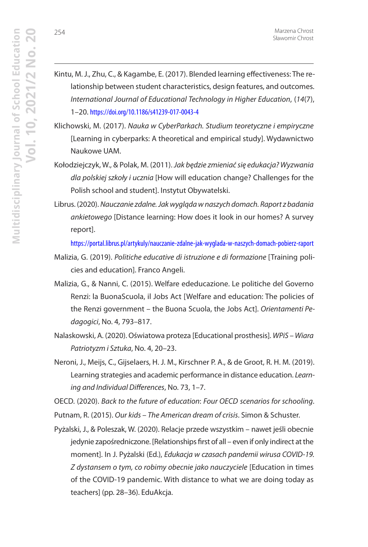- Kintu, M. J., Zhu, C., & Kagambe, E. (2017). Blended learning effectiveness: The relationship between student characteristics, design features, and outcomes. International Journal of Educational Technology in Higher Education, (14(7), 1–20. https://doi.org/10.1186/s41239-017-0043-4
- Klichowski, M. (2017). Nauka w CyberParkach. Studium teoretyczne i empiryczne [Learning in cyberparks: A theoretical and empirical study]. Wydawnictwo Naukowe UAM.
- Kołodziejczyk, W., & Polak, M. (2011). Jak będzie zmieniać się edukacja? Wyzwania dla polskiej szkoły i ucznia [How will education change? Challenges for the Polish school and student]. Instytut Obywatelski.
- Librus. (2020). Nauczanie zdalne. Jak wygląda w naszych domach. Raport z badania ankietowego [Distance learning: How does it look in our homes? A survey report].

https://portal.librus.pl/artykuly/nauczanie-zdalne-jak-wyglada-w-naszych-domach-pobierz-raport

- Malizia, G. (2019). Politiche educative di istruzione e di formazione [Training policies and education]. Franco Angeli.
- Malizia, G., & Nanni, C. (2015). Welfare ededucazione. Le politiche del Governo Renzi: la BuonaScuola, il Jobs Act [Welfare and education: The policies of the Renzi government - the Buona Scuola, the Jobs Act]. Orientamenti Pedagogici, No. 4, 793–817.
- Nalaskowski, A. (2020). Oświatowa proteza [Educational prosthesis]. WPiS Wiara Patriotyzm i Sztuka, No. 4, 20–23.
- Neroni, J., Meijs, C., Gijselaers, H. J. M., Kirschner P. A., & de Groot, R. H. M. (2019). Learning strategies and academic performance in distance education. Learning and Individual Differences, No. 73, 1–7.

OECD. (2020). Back to the future of education: Four OECD scenarios for schooling.

- Putnam, R. (2015). Our kids The American dream of crisis. Simon & Schuster.
- Pyżalski, J., & Poleszak, W. (2020). Relacje przede wszystkim nawet jeśli obecnie jedynie zapośredniczone. [Relationships first of all – even if only indirect at the moment]. In J. Pyżalski (Ed.), Edukacja w czasach pandemii wirusa COVID-19. Z dystansem o tym, co robimy obecnie jako nauczyciele [Education in times of the COVID-19 pandemic. With distance to what we are doing today as teachers] (pp. 28–36). EduAkcja.